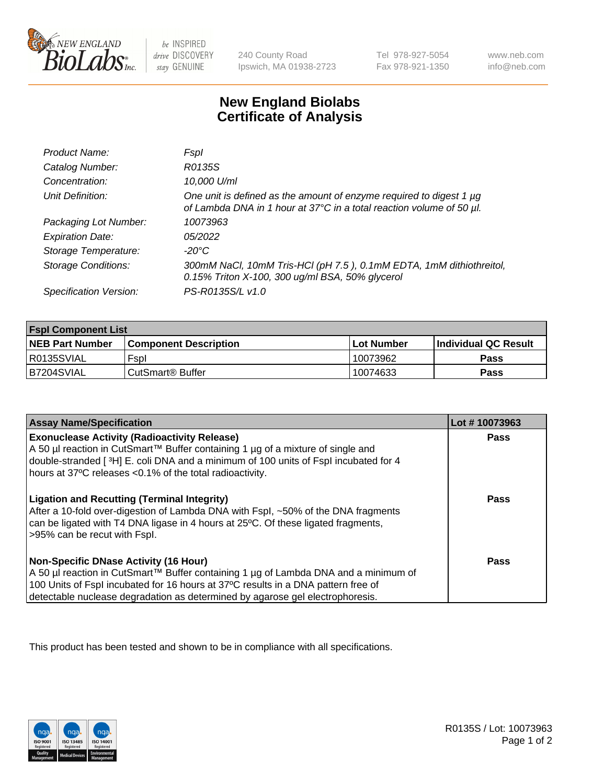

 $be$  INSPIRED drive DISCOVERY stay GENUINE

240 County Road Ipswich, MA 01938-2723 Tel 978-927-5054 Fax 978-921-1350 www.neb.com info@neb.com

## **New England Biolabs Certificate of Analysis**

| Product Name:              | Fspl                                                                                                                                        |
|----------------------------|---------------------------------------------------------------------------------------------------------------------------------------------|
| Catalog Number:            | R0135S                                                                                                                                      |
| Concentration:             | 10,000 U/ml                                                                                                                                 |
| Unit Definition:           | One unit is defined as the amount of enzyme required to digest 1 µg<br>of Lambda DNA in 1 hour at 37°C in a total reaction volume of 50 µl. |
| Packaging Lot Number:      | 10073963                                                                                                                                    |
| <b>Expiration Date:</b>    | 05/2022                                                                                                                                     |
| Storage Temperature:       | -20°C                                                                                                                                       |
| <b>Storage Conditions:</b> | 300mM NaCl, 10mM Tris-HCl (pH 7.5), 0.1mM EDTA, 1mM dithiothreitol,<br>0.15% Triton X-100, 300 ug/ml BSA, 50% glycerol                      |
| Specification Version:     | PS-R0135S/L v1.0                                                                                                                            |

| <b>Fspl Component List</b> |                              |                   |                             |  |
|----------------------------|------------------------------|-------------------|-----------------------------|--|
| <b>NEB Part Number</b>     | <b>Component Description</b> | <b>Lot Number</b> | <b>Individual QC Result</b> |  |
| R0135SVIAL                 | Fspl                         | 10073962          | <b>Pass</b>                 |  |
| B7204SVIAL                 | CutSmart <sup>®</sup> Buffer | 10074633          | Pass                        |  |

| <b>Assay Name/Specification</b>                                                                                                                                                                                                                                                                           | Lot #10073963 |
|-----------------------------------------------------------------------------------------------------------------------------------------------------------------------------------------------------------------------------------------------------------------------------------------------------------|---------------|
| <b>Exonuclease Activity (Radioactivity Release)</b><br>A 50 µl reaction in CutSmart™ Buffer containing 1 µg of a mixture of single and<br>double-stranded [3H] E. coli DNA and a minimum of 100 units of Fspl incubated for 4<br>hours at 37°C releases <0.1% of the total radioactivity.                 | Pass          |
| <b>Ligation and Recutting (Terminal Integrity)</b><br>After a 10-fold over-digestion of Lambda DNA with Fspl, ~50% of the DNA fragments<br>can be ligated with T4 DNA ligase in 4 hours at 25 °C. Of these ligated fragments,<br>>95% can be recut with Fspl.                                             | Pass          |
| <b>Non-Specific DNase Activity (16 Hour)</b><br>A 50 µl reaction in CutSmart™ Buffer containing 1 µg of Lambda DNA and a minimum of<br>100 Units of Fspl incubated for 16 hours at 37°C results in a DNA pattern free of<br>detectable nuclease degradation as determined by agarose gel electrophoresis. | <b>Pass</b>   |

This product has been tested and shown to be in compliance with all specifications.